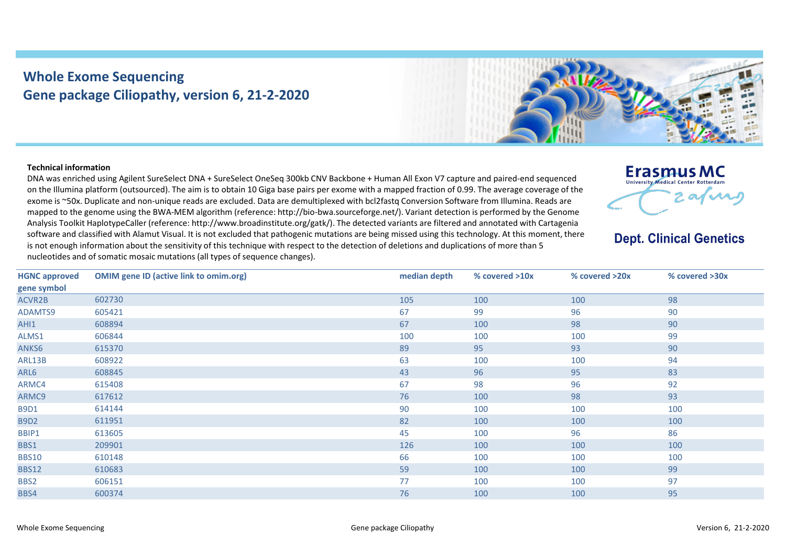## **Whole Exome Sequencing Gene package Ciliopathy, version 6, 21-2-2020**



## **Technical information**

DNA was enriched using Agilent SureSelect DNA + SureSelect OneSeq 300kb CNV Backbone + Human All Exon V7 capture and paired-end sequenced on the Illumina platform (outsourced). The aim is to obtain 10 Giga base pairs per exome with a mapped fraction of 0.99. The average coverage of the exome is ~50x. Duplicate and non-unique reads are excluded. Data are demultiplexed with bcl2fastq Conversion Software from Illumina. Reads are mapped to the genome using the BWA-MEM algorithm (reference: http://bio-bwa.sourceforge.net/). Variant detection is performed by the Genome Analysis Toolkit HaplotypeCaller (reference: http://www.broadinstitute.org/gatk/). The detected variants are filtered and annotated with Cartagenia software and classified with Alamut Visual. It is not excluded that pathogenic mutations are being missed using this technology. At this moment, there is not enough information about the sensitivity of this technique with respect to the detection of deletions and duplications of more than 5 nucleotides and of somatic mosaic mutations (all types of sequence changes).



## **Dept. Clinical Genetics**

| <b>HGNC approved</b> | <b>OMIM gene ID (active link to omim.org)</b> | median depth | % covered >10x | % covered >20x | % covered >30x |
|----------------------|-----------------------------------------------|--------------|----------------|----------------|----------------|
| gene symbol          |                                               |              |                |                |                |
| ACVR2B               | 602730                                        | 105          | 100            | 100            | 98             |
| ADAMTS9              | 605421                                        | 67           | 99             | 96             | 90             |
| AHI1                 | 608894                                        | 67           | 100            | 98             | 90             |
| ALMS1                | 606844                                        | 100          | 100            | 100            | 99             |
| ANKS6                | 615370                                        | 89           | 95             | 93             | 90             |
| ARL13B               | 608922                                        | 63           | 100            | 100            | 94             |
| ARL6                 | 608845                                        | 43           | 96             | 95             | 83             |
| ARMC4                | 615408                                        | 67           | 98             | 96             | 92             |
| ARMC9                | 617612                                        | 76           | 100            | 98             | 93             |
| <b>B9D1</b>          | 614144                                        | 90           | 100            | 100            | 100            |
| <b>B9D2</b>          | 611951                                        | 82           | 100            | 100            | 100            |
| BBIP1                | 613605                                        | 45           | 100            | 96             | 86             |
| BBS1                 | 209901                                        | 126          | 100            | 100            | 100            |
| <b>BBS10</b>         | 610148                                        | 66           | 100            | 100            | 100            |
| <b>BBS12</b>         | 610683                                        | 59           | 100            | 100            | 99             |
| BBS2                 | 606151                                        | 77           | 100            | 100            | 97             |
| BBS4                 | 600374                                        | 76           | 100            | 100            | 95             |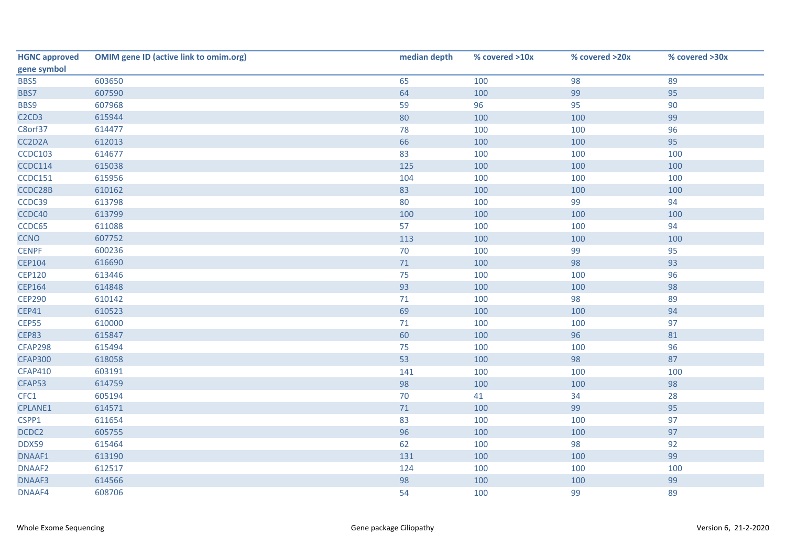| <b>HGNC approved</b>                       | <b>OMIM gene ID (active link to omim.org)</b> | median depth | % covered >10x | % covered >20x | % covered >30x |
|--------------------------------------------|-----------------------------------------------|--------------|----------------|----------------|----------------|
| gene symbol                                |                                               |              |                |                |                |
| BBS5                                       | 603650                                        | 65           | 100            | 98             | 89             |
| BBS7                                       | 607590                                        | 64           | 100            | 99             | 95             |
| BBS9                                       | 607968                                        | 59           | 96             | 95             | 90             |
| C <sub>2</sub> C <sub>D</sub> <sub>3</sub> | 615944                                        | 80           | 100            | 100            | 99             |
| C8orf37                                    | 614477                                        | 78           | 100            | 100            | 96             |
| CC2D2A                                     | 612013                                        | 66           | 100            | 100            | 95             |
| <b>CCDC103</b>                             | 614677                                        | 83           | 100            | 100            | 100            |
| <b>CCDC114</b>                             | 615038                                        | 125          | 100            | 100            | 100            |
| CCDC151                                    | 615956                                        | 104          | 100            | 100            | 100            |
| CCDC28B                                    | 610162                                        | 83           | 100            | 100            | 100            |
| CCDC39                                     | 613798                                        | 80           | 100            | 99             | 94             |
| CCDC40                                     | 613799                                        | 100          | 100            | 100            | 100            |
| CCDC65                                     | 611088                                        | 57           | 100            | 100            | 94             |
| <b>CCNO</b>                                | 607752                                        | 113          | 100            | 100            | 100            |
| <b>CENPF</b>                               | 600236                                        | $70\,$       | 100            | 99             | 95             |
| <b>CEP104</b>                              | 616690                                        | $71$         | 100            | 98             | 93             |
| <b>CEP120</b>                              | 613446                                        | 75           | 100            | 100            | 96             |
| <b>CEP164</b>                              | 614848                                        | 93           | 100            | 100            | 98             |
| <b>CEP290</b>                              | 610142                                        | 71           | 100            | 98             | 89             |
| <b>CEP41</b>                               | 610523                                        | 69           | 100            | 100            | 94             |
| CEP55                                      | 610000                                        | 71           | 100            | 100            | 97             |
| <b>CEP83</b>                               | 615847                                        | 60           | 100            | 96             | 81             |
| <b>CFAP298</b>                             | 615494                                        | 75           | 100            | 100            | 96             |
| <b>CFAP300</b>                             | 618058                                        | 53           | 100            | 98             | 87             |
| <b>CFAP410</b>                             | 603191                                        | 141          | 100            | 100            | 100            |
| CFAP53                                     | 614759                                        | 98           | 100            | 100            | 98             |
| CFC1                                       | 605194                                        | 70           | 41             | 34             | 28             |
| CPLANE1                                    | 614571                                        | $71$         | 100            | 99             | 95             |
| CSPP1                                      | 611654                                        | 83           | 100            | 100            | 97             |
| DCDC2                                      | 605755                                        | 96           | 100            | 100            | 97             |
| DDX59                                      | 615464                                        | 62           | 100            | 98             | 92             |
| DNAAF1                                     | 613190                                        | 131          | 100            | 100            | 99             |
| DNAAF2                                     | 612517                                        | 124          | 100            | 100            | 100            |
| DNAAF3                                     | 614566                                        | 98           | 100            | 100            | 99             |
| DNAAF4                                     | 608706                                        | 54           | 100            | 99             | 89             |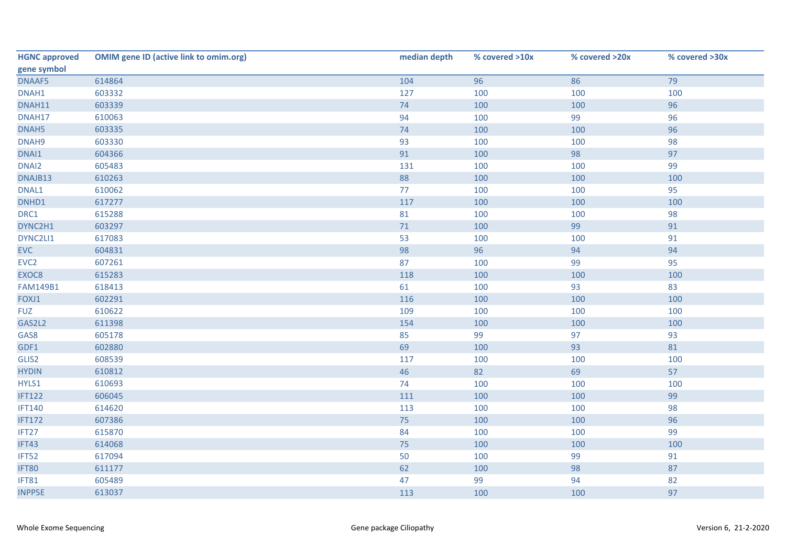| <b>HGNC approved</b> | <b>OMIM gene ID (active link to omim.org)</b> | median depth | % covered >10x | % covered >20x | % covered >30x |
|----------------------|-----------------------------------------------|--------------|----------------|----------------|----------------|
| gene symbol          |                                               |              |                |                |                |
| DNAAF5               | 614864                                        | 104          | 96             | 86             | 79             |
| DNAH1                | 603332                                        | 127          | 100            | 100            | 100            |
| DNAH11               | 603339                                        | 74           | 100            | 100            | 96             |
| DNAH17               | 610063                                        | 94           | 100            | 99             | 96             |
| DNAH5                | 603335                                        | 74           | 100            | 100            | 96             |
| DNAH9                | 603330                                        | 93           | 100            | 100            | 98             |
| DNAI1                | 604366                                        | 91           | 100            | 98             | 97             |
| DNAI2                | 605483                                        | 131          | 100            | 100            | 99             |
| DNAJB13              | 610263                                        | 88           | 100            | 100            | 100            |
| DNAL1                | 610062                                        | 77           | 100            | 100            | 95             |
| DNHD1                | 617277                                        | 117          | 100            | 100            | 100            |
| DRC1                 | 615288                                        | 81           | 100            | 100            | 98             |
| DYNC2H1              | 603297                                        | 71           | 100            | 99             | 91             |
| DYNC2LI1             | 617083                                        | 53           | 100            | 100            | 91             |
| <b>EVC</b>           | 604831                                        | 98           | 96             | 94             | 94             |
| EVC <sub>2</sub>     | 607261                                        | 87           | 100            | 99             | 95             |
| EXOC8                | 615283                                        | 118          | 100            | 100            | 100            |
| <b>FAM149B1</b>      | 618413                                        | 61           | 100            | 93             | 83             |
| FOXJ1                | 602291                                        | 116          | 100            | 100            | 100            |
| <b>FUZ</b>           | 610622                                        | 109          | 100            | 100            | 100            |
| GAS2L2               | 611398                                        | 154          | 100            | 100            | 100            |
| GAS8                 | 605178                                        | 85           | 99             | 97             | 93             |
| GDF1                 | 602880                                        | 69           | 100            | 93             | 81             |
| GLIS2                | 608539                                        | 117          | 100            | 100            | 100            |
| <b>HYDIN</b>         | 610812                                        | 46           | 82             | 69             | 57             |
| HYLS1                | 610693                                        | 74           | 100            | 100            | 100            |
| <b>IFT122</b>        | 606045                                        | 111          | 100            | 100            | 99             |
| <b>IFT140</b>        | 614620                                        | 113          | 100            | 100            | 98             |
| <b>IFT172</b>        | 607386                                        | 75           | 100            | 100            | 96             |
| IFT27                | 615870                                        | 84           | 100            | 100            | 99             |
| IFT43                | 614068                                        | 75           | 100            | 100            | 100            |
| IFT52                | 617094                                        | 50           | 100            | 99             | 91             |
| IFT80                | 611177                                        | 62           | 100            | 98             | 87             |
| IFT81                | 605489                                        | 47           | 99             | 94             | 82             |
| <b>INPP5E</b>        | 613037                                        | 113          | 100            | 100            | 97             |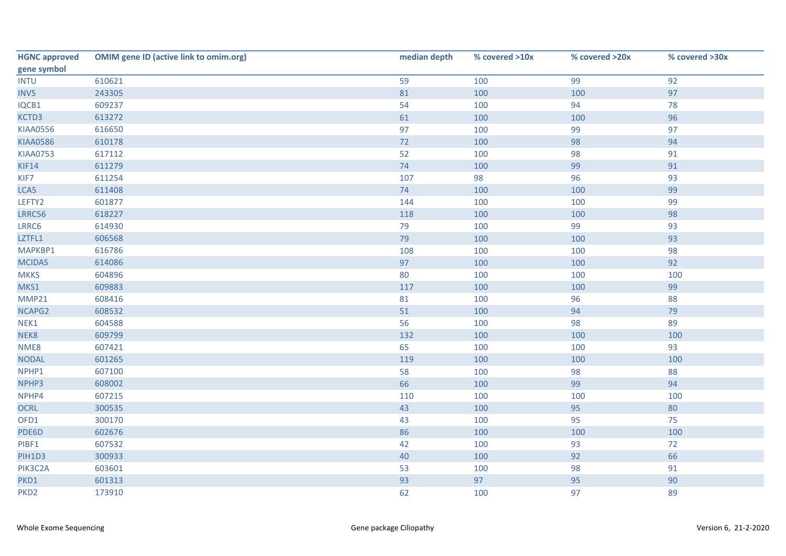| <b>HGNC approved</b> | <b>OMIM gene ID (active link to omim.org)</b> | median depth | % covered >10x | % covered >20x | % covered >30x |
|----------------------|-----------------------------------------------|--------------|----------------|----------------|----------------|
| gene symbol          |                                               |              |                |                |                |
| <b>INTU</b>          | 610621                                        | 59           | 100            | 99             | 92             |
| <b>INVS</b>          | 243305                                        | 81           | 100            | 100            | 97             |
| IQCB1                | 609237                                        | 54           | 100            | 94             | 78             |
| KCTD3                | 613272                                        | 61           | 100            | 100            | 96             |
| <b>KIAA0556</b>      | 616650                                        | 97           | 100            | 99             | 97             |
| <b>KIAA0586</b>      | 610178                                        | 72           | 100            | 98             | 94             |
| <b>KIAA0753</b>      | 617112                                        | 52           | 100            | 98             | 91             |
| KIF14                | 611279                                        | 74           | 100            | 99             | 91             |
| KIF7                 | 611254                                        | 107          | 98             | 96             | 93             |
| LCA5                 | 611408                                        | 74           | 100            | 100            | 99             |
| LEFTY2               | 601877                                        | 144          | 100            | 100            | 99             |
| LRRC56               | 618227                                        | 118          | 100            | 100            | 98             |
| LRRC6                | 614930                                        | 79           | 100            | 99             | 93             |
| LZTFL1               | 606568                                        | 79           | 100            | 100            | 93             |
| MAPKBP1              | 616786                                        | 108          | 100            | 100            | 98             |
| <b>MCIDAS</b>        | 614086                                        | 97           | 100            | 100            | 92             |
| <b>MKKS</b>          | 604896                                        | 80           | 100            | 100            | 100            |
| MKS1                 | 609883                                        | 117          | 100            | 100            | 99             |
| <b>MMP21</b>         | 608416                                        | 81           | 100            | 96             | 88             |
| NCAPG2               | 608532                                        | 51           | 100            | 94             | 79             |
| NEK1                 | 604588                                        | 56           | 100            | 98             | 89             |
| NEK8                 | 609799                                        | 132          | 100            | 100            | 100            |
| NME8                 | 607421                                        | 65           | 100            | 100            | 93             |
| <b>NODAL</b>         | 601265                                        | 119          | 100            | 100            | 100            |
| NPHP1                | 607100                                        | 58           | 100            | 98             | 88             |
| NPHP3                | 608002                                        | 66           | 100            | 99             | 94             |
| NPHP4                | 607215                                        | 110          | 100            | 100            | 100            |
| <b>OCRL</b>          | 300535                                        | 43           | 100            | 95             | 80             |
| OFD1                 | 300170                                        | 43           | 100            | 95             | 75             |
| PDE6D                | 602676                                        | 86           | 100            | 100            | 100            |
| PIBF1                | 607532                                        | 42           | 100            | 93             | 72             |
| PIH1D3               | 300933                                        | 40           | 100            | 92             | 66             |
| PIK3C2A              | 603601                                        | 53           | 100            | 98             | 91             |
| PKD1                 | 601313                                        | 93           | 97             | 95             | 90             |
| PKD <sub>2</sub>     | 173910                                        | 62           | 100            | 97             | 89             |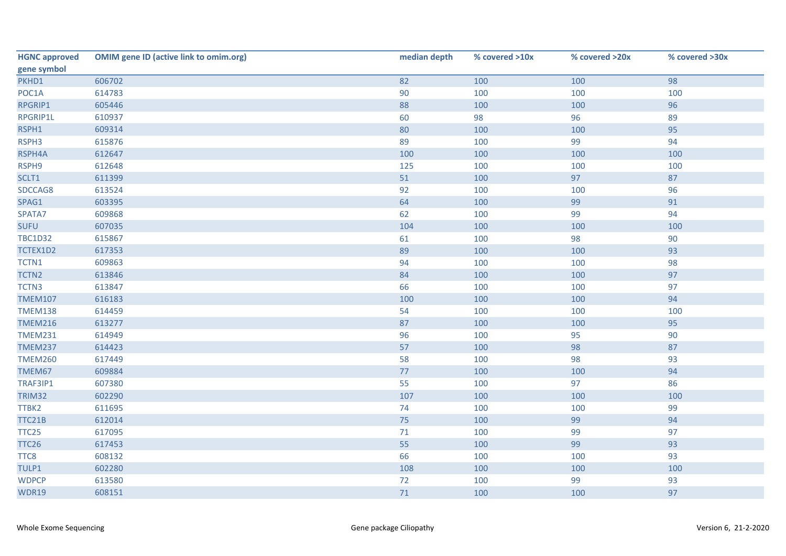| <b>HGNC approved</b> | <b>OMIM gene ID (active link to omim.org)</b> | median depth | % covered >10x | % covered >20x | % covered >30x |
|----------------------|-----------------------------------------------|--------------|----------------|----------------|----------------|
| gene symbol          |                                               |              |                |                |                |
| PKHD1                | 606702                                        | 82           | 100            | 100            | 98             |
| POC1A                | 614783                                        | 90           | 100            | 100            | 100            |
| RPGRIP1              | 605446                                        | 88           | 100            | 100            | 96             |
| RPGRIP1L             | 610937                                        | 60           | 98             | 96             | 89             |
| RSPH1                | 609314                                        | 80           | 100            | 100            | 95             |
| RSPH3                | 615876                                        | 89           | 100            | 99             | 94             |
| RSPH4A               | 612647                                        | 100          | 100            | 100            | 100            |
| RSPH9                | 612648                                        | 125          | 100            | 100            | 100            |
| SCLT1                | 611399                                        | 51           | 100            | 97             | 87             |
| SDCCAG8              | 613524                                        | 92           | 100            | 100            | 96             |
| SPAG1                | 603395                                        | 64           | 100            | 99             | 91             |
| SPATA7               | 609868                                        | 62           | 100            | 99             | 94             |
| <b>SUFU</b>          | 607035                                        | 104          | 100            | 100            | 100            |
| <b>TBC1D32</b>       | 615867                                        | 61           | 100            | 98             | 90             |
| TCTEX1D2             | 617353                                        | 89           | 100            | 100            | 93             |
| TCTN1                | 609863                                        | 94           | 100            | 100            | 98             |
| TCTN2                | 613846                                        | 84           | 100            | 100            | 97             |
| TCTN3                | 613847                                        | 66           | 100            | 100            | 97             |
| <b>TMEM107</b>       | 616183                                        | 100          | 100            | 100            | 94             |
| <b>TMEM138</b>       | 614459                                        | 54           | 100            | 100            | 100            |
| <b>TMEM216</b>       | 613277                                        | 87           | 100            | 100            | 95             |
| <b>TMEM231</b>       | 614949                                        | 96           | 100            | 95             | 90             |
| <b>TMEM237</b>       | 614423                                        | 57           | 100            | 98             | 87             |
| <b>TMEM260</b>       | 617449                                        | 58           | 100            | 98             | 93             |
| TMEM67               | 609884                                        | 77           | 100            | 100            | 94             |
| TRAF3IP1             | 607380                                        | 55           | 100            | 97             | 86             |
| <b>TRIM32</b>        | 602290                                        | 107          | 100            | 100            | 100            |
| TTBK2                | 611695                                        | 74           | 100            | 100            | 99             |
| TTC21B               | 612014                                        | 75           | 100            | 99             | 94             |
| TTC <sub>25</sub>    | 617095                                        | 71           | 100            | 99             | 97             |
| <b>TTC26</b>         | 617453                                        | 55           | 100            | 99             | 93             |
| TTC8                 | 608132                                        | 66           | 100            | 100            | 93             |
| TULP1                | 602280                                        | 108          | 100            | 100            | 100            |
| <b>WDPCP</b>         | 613580                                        | 72           | 100            | 99             | 93             |
| <b>WDR19</b>         | 608151                                        | 71           | 100            | 100            | 97             |